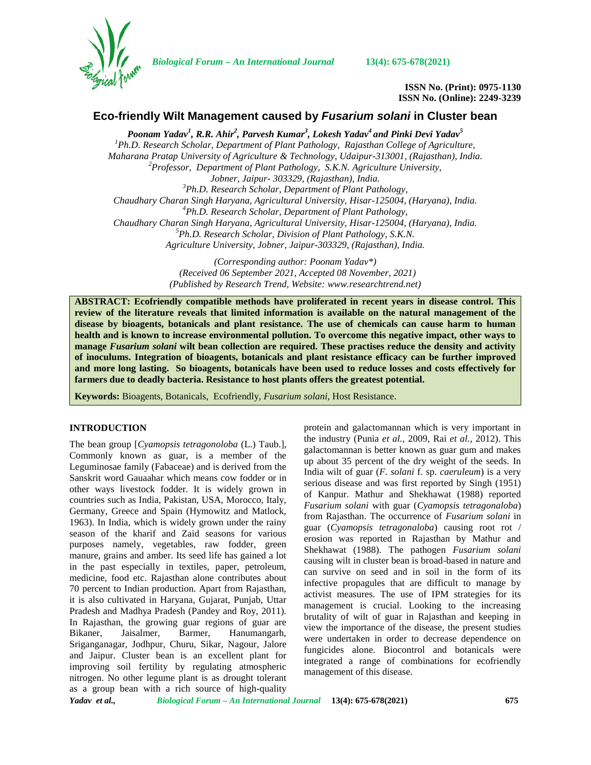

*Biological Forum – An International Journal* **13(4): 675-678(2021)**

**ISSN No. (Print): 0975-1130 ISSN No. (Online): 2249-3239**

# **Eco-friendly Wilt Management caused by** *Fusarium solani* **in Cluster bean**

*Poonam Yadav<sup>1</sup> , R.R. Ahir<sup>2</sup> , Parvesh Kumar<sup>3</sup> , Lokesh Yadav<sup>4</sup> and Pinki Devi Yadav<sup>5</sup> <sup>1</sup>Ph.D. Research Scholar, Department of Plant Pathology, Rajasthan College of Agriculture, Maharana Pratap University of Agriculture & Technology, Udaipur-313001, (Rajasthan), India. <sup>2</sup>Professor, Department of Plant Pathology, S.K.N. Agriculture University, Jobner, Jaipur- 303329, (Rajasthan), India. <sup>3</sup>Ph.D. Research Scholar, Department of Plant Pathology, Chaudhary Charan Singh Haryana, Agricultural University, Hisar-125004, (Haryana), India. <sup>4</sup>Ph.D. Research Scholar, Department of Plant Pathology, Chaudhary Charan Singh Haryana, Agricultural University, Hisar-125004, (Haryana), India. <sup>5</sup>Ph.D. Research Scholar, Division of Plant Pathology, S.K.N. Agriculture University, Jobner, Jaipur-303329, (Rajasthan), India.*

> *(Corresponding author: Poonam Yadav\*) (Received 06 September 2021, Accepted 08 November, 2021) (Published by Research Trend, Website: [www.researchtrend.net\)](www.researchtrend.net)*

**ABSTRACT: Ecofriendly compatible methods have proliferated in recent years in disease control. This review of the literature reveals that limited information is available on the natural management of the disease by bioagents, botanicals and plant resistance. The use of chemicals can cause harm to human health and is known to increase environmental pollution. To overcome this negative impact, other ways to manage** *Fusarium solani* **wilt bean collection are required. These practises reduce the density and activity of inoculums. Integration of bioagents, botanicals and plant resistance efficacy can be further improved and more long lasting. So bioagents, botanicals have been used to reduce losses and costs effectively for farmers due to deadly bacteria. Resistance to host plants offers the greatest potential.**

**Keywords:** Bioagents, Botanicals, Ecofriendly, *Fusarium solani*, Host Resistance.

### **INTRODUCTION**

The bean group [*Cyamopsis tetragonoloba* (L.) Taub.], Commonly known as guar, is a member of the Leguminosae family (Fabaceae) and is derived from the Sanskrit word Gauaahar which means cow fodder or in other ways livestock fodder. It is widely grown in countries such as India, Pakistan, USA, Morocco, Italy, Germany, Greece and Spain (Hymowitz and Matlock, 1963). In India, which is widely grown under the rainy season of the kharif and Zaid seasons for various purposes namely, vegetables, raw fodder, green manure, grains and amber. Its seed life has gained a lot in the past especially in textiles, paper, petroleum, medicine, food etc. Rajasthan alone contributes about 70 percent to Indian production. Apart from Rajasthan, it is also cultivated in Haryana, Gujarat, Punjab, Uttar Pradesh and Madhya Pradesh (Pandey and Roy, 2011). In Rajasthan, the growing guar regions of guar are Bikaner, Jaisalmer, Barmer, Hanumangarh, Sriganganagar, Jodhpur, Churu, Sikar, Nagour, Jalore and Jaipur. Cluster bean is an excellent plant for improving soil fertility by regulating atmospheric nitrogen. No other legume plant is as drought tolerant as a group bean with a rich source of high-quality

protein and galactomannan which is very important in the industry (Punia *et al.,* 2009, Rai *et al.,* 2012). This galactomannan is better known as guar gum and makes up about 35 percent of the dry weight of the seeds. In India wilt of guar (*F. solani* f. sp. *caeruleum*) is a very serious disease and was first reported by Singh (1951) of Kanpur. Mathur and Shekhawat (1988) reported *Fusarium solani* with guar (*Cyamopsis tetragonaloba*) from Rajasthan. The occurrence of *Fusarium solani* in guar (*Cyamopsis tetragonaloba*) causing root rot / erosion was reported in Rajasthan by Mathur and Shekhawat (1988). The pathogen *Fusarium solani* causing wilt in cluster bean is broad-based in nature and can survive on seed and in soil in the form of its infective propagules that are difficult to manage by activist measures. The use of IPM strategies for its management is crucial. Looking to the increasing brutality of wilt of guar in Rajasthan and keeping in view the importance of the disease, the present studies were undertaken in order to decrease dependence on fungicides alone. Biocontrol and botanicals were integrated a range of combinations for ecofriendly management of this disease.

*Yadav et al., Biological Forum – An International Journal* **13(4): 675-678(2021) 675**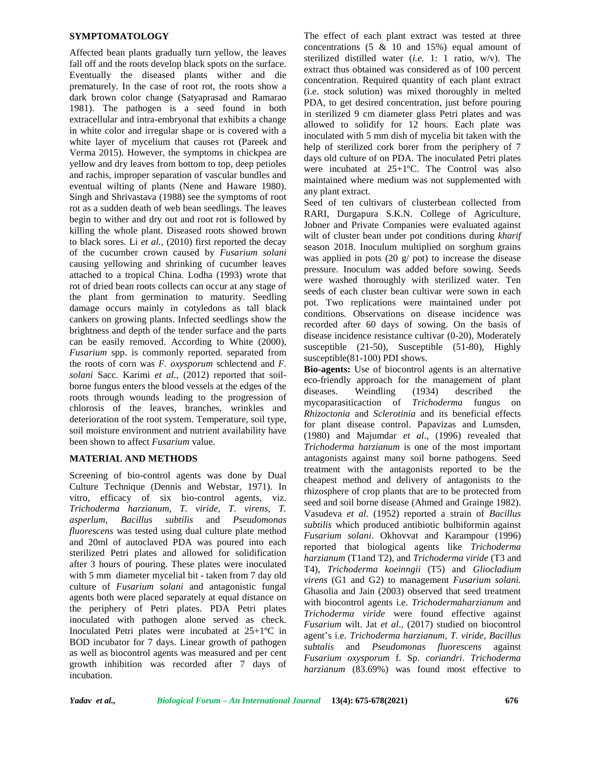#### **SYMPTOMATOLOGY**

Affected bean plants gradually turn yellow, the leaves fall off and the roots develop black spots on the surface. Eventually the diseased plants wither and die prematurely. In the case of root rot, the roots show a dark brown color change (Satyaprasad and Ramarao 1981). The pathogen is a seed found in both extracellular and intra-embryonal that exhibits a change in white color and irregular shape or is covered with a white layer of mycelium that causes rot (Pareek and Verma 2015). However, the symptoms in chickpea are yellow and dry leaves from bottom to top, deep petioles and rachis, improper separation of vascular bundles and eventual wilting of plants (Nene and Haware 1980). Singh and Shrivastava (1988) see the symptoms of root rot as a sudden death of web bean seedlings. The leaves begin to wither and dry out and root rot is followed by killing the whole plant. Diseased roots showed brown to black sores. Li *et al.,* (2010) first reported the decay of the cucumber crown caused by *Fusarium solani* causing yellowing and shrinking of cucumber leaves attached to a tropical China. Lodha (1993) wrote that rot of dried bean roots collects can occur at any stage of the plant from germination to maturity. Seedling damage occurs mainly in cotyledons as tall black cankers on growing plants. Infected seedlings show the brightness and depth of the tender surface and the parts can be easily removed. According to White (2000), *Fusarium* spp. is commonly reported. separated from the roots of corn was *F. oxysporum* schlectend and *F. solani* Sacc. Karimi *et al.,* (2012) reported that soil borne fungus enters the blood vessels at the edges of the diseases. roots through wounds leading to the progression of chlorosis of the leaves, branches, wrinkles and deterioration of the root system. Temperature, soil type, soil moisture environment and nutrient availability have been shown to affect *Fusarium* value.

## **MATERIAL AND METHODS**

Screening of bio-control agents was done by Dual Culture Technique (Dennis and Webstar, 1971). In vitro, efficacy of six bio-control agents, viz. *Trichoderma harzianum, T. viride, T. virens, T. asperlum*, *Bacillus subtilis* and *Pseudomonas fluorescens* was tested using dual culture plate method and 20ml of autoclaved PDA was poured into each sterilized Petri plates and allowed for solidification after 3 hours of pouring. These plates were inoculated with 5 mm diameter mycelial bit - taken from 7 day old culture of *Fusarium solani* and antagonistic fungal agents both were placed separately at equal distance on the periphery of Petri plates. PDA Petri plates inoculated with pathogen alone served as check. Inoculated Petri plates were incubated at 25+1ºC in BOD incubator for 7 days. Linear growth of pathogen as well as biocontrol agents was measured and per cent growth inhibition was recorded after 7 days of incubation.

The effect of each plant extract was tested at three concentrations (5 & 10 and 15%) equal amount of sterilized distilled water (*i.e.* 1: 1 ratio, w/v). The extract thus obtained was considered as of 100 percent concentration. Required quantity of each plant extract (i.e. stock solution) was mixed thoroughly in melted PDA, to get desired concentration, just before pouring in sterilized 9 cm diameter glass Petri plates and was allowed to solidify for 12 hours. Each plate was inoculated with 5 mm dish of mycelia bit taken with the help of sterilized cork borer from the periphery of 7 days old culture of on PDA. The inoculated Petri plates were incubated at 25+1ºC. The Control was also maintained where medium was not supplemented with any plant extract.

Seed of ten cultivars of clusterbean collected from RARI, Durgapura S.K.N. College of Agriculture, Jobner and Private Companies were evaluated against wilt of cluster bean under pot conditions during *kharif* season 2018. Inoculum multiplied on sorghum grains was applied in pots (20 g/ pot) to increase the disease pressure. Inoculum was added before sowing. Seeds were washed thoroughly with sterilized water. Ten seeds of each cluster bean cultivar were sown in each pot. Two replications were maintained under pot conditions. Observations on disease incidence was recorded after 60 days of sowing. On the basis of disease incidence resistance cultivar (0-20), Moderately susceptible (21-50), Susceptible (51-80), Highly susceptible(81-100) PDI shows.

**Bio-agents:** Use of biocontrol agents is an alternative eco-friendly approach for the management of plant Weindling (1934) described the mycoparasiticaction of *Trichoderma* fungus on *Rhizoctonia* and *Sclerotinia* and its beneficial effects for plant disease control. Papavizas and Lumsden, (1980) and Majumdar *et al*., (1996) revealed that *Trichoderma harzianum* is one of the most important antagonists against many soil borne pathogens. Seed treatment with the antagonists reported to be the cheapest method and delivery of antagonists to the rhizosphere of crop plants that are to be protected from seed and soil borne disease (Ahmed and Grainge 1982). Vasudeva *et al*. (1952) reported a strain of *Bacillus subtilis* which produced antibiotic bulbiformin against *Fusarium solani*. Okhovvat and Karampour (1996) reported that biological agents like *Trichoderma harzianum* (T1and T2), and *Trichoderma viride* (T3 and T4), *Trichoderma koeinngii* (T5) and *Gliocladium virens* (G1 and G2) to management *Fusarium solani.* Ghasolia and Jain (2003) observed that seed treatment with biocontrol agents i.e. *Trichodermaharzianum* and *Trichoderma viride* were found effective against *Fusarium* wilt. Jat *et al*., (2017) studied on biocontrol agent's i.e. *Trichoderma harzianum*, *T. viride*, *Bacillus subtalis* and *Pseudomonas fluorescens* against *Fusarium oxysporum* f. Sp. *coriandri*. *Trichoderma harzianum* (83.69%) was found most effective to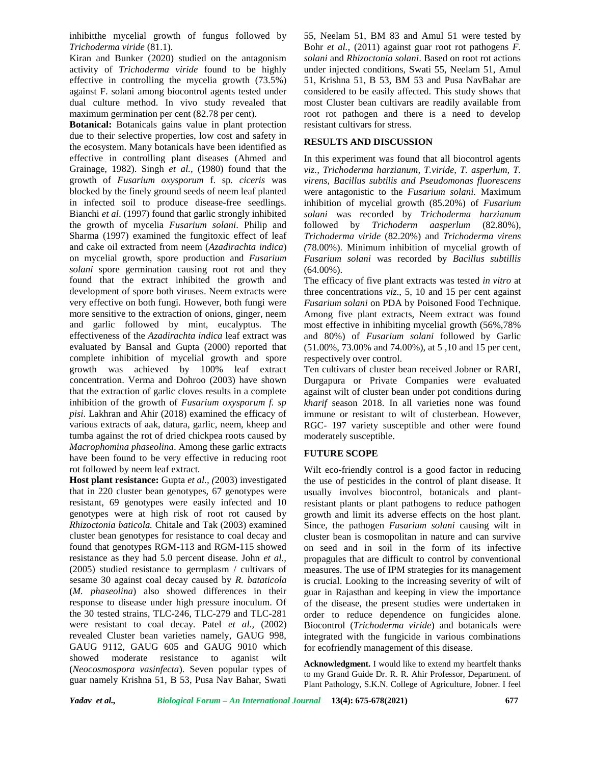inhibitthe mycelial growth of fungus followed by *Trichoderma viride* (81.1).

Kiran and Bunker (2020) studied on the antagonism activity of *Trichoderma viride* found to be highly effective in controlling the mycelia growth (73.5%) against F. solani among biocontrol agents tested under dual culture method. In vivo study revealed that maximum germination per cent (82.78 per cent).

**Botanical:** Botanicals gains value in plant protection due to their selective properties, low cost and safety in the ecosystem. Many botanicals have been identified as effective in controlling plant diseases (Ahmed and Grainage, 1982). Singh *et al.,* (1980) found that the growth of *Fusarium oxysporum* f. sp*. ciceris* was blocked by the finely ground seeds of neem leaf planted in infected soil to produce disease-free seedlings. Bianchi *et al*. (1997) found that garlic strongly inhibited the growth of mycelia *Fusarium solani*. Philip and Sharma (1997) examined the fungitoxic effect of leaf and cake oil extracted from neem (*Azadirachta indica*) on mycelial growth, spore production and *Fusarium solani* spore germination causing root rot and they found that the extract inhibited the growth and development of spore both viruses. Neem extracts were very effective on both fungi*.* However, both fungi were more sensitive to the extraction of onions, ginger, neem and garlic followed by mint, eucalyptus. The effectiveness of the *Azadirachta indica* leaf extract was evaluated by Bansal and Gupta (2000) reported that complete inhibition of mycelial growth and spore growth was achieved by 100% leaf extract concentration. Verma and Dohroo (2003) have shown that the extraction of garlic cloves results in a complete inhibition of the growth of *Fusarium oxysporum f. sp pisi*. Lakhran and Ahir (2018) examined the efficacy of various extracts of aak, datura, garlic, neem, kheep and tumba against the rot of dried chickpea roots caused by *Macrophomina phaseolina*. Among these garlic extracts have been found to be very effective in reducing root rot followed by neem leaf extract.

**Host plant resistance:** Gupta *et al., (*2003) investigated that in 220 cluster bean genotypes, 67 genotypes were resistant, 69 genotypes were easily infected and 10 genotypes were at high risk of root rot caused by *Rhizoctonia baticola.* Chitale and Tak (2003) examined cluster bean genotypes for resistance to coal decay and found that genotypes RGM-113 and RGM-115 showed resistance as they had 5.0 percent disease. John *et al.,* (2005) studied resistance to germplasm / cultivars of sesame 30 against coal decay caused by *R. bataticola* (*M. phaseolina*) also showed differences in their response to disease under high pressure inoculum. Of the 30 tested strains, TLC-246, TLC-279 and TLC-281 were resistant to coal decay. Patel *et al.,* (2002) revealed Cluster bean varieties namely, GAUG 998, GAUG 9112, GAUG 605 and GAUG 9010 which showed moderate resistance to aganist wilt (*Neocosmospora vasinfecta*). Seven popular types of guar namely Krishna 51, B 53, Pusa Nav Bahar, Swati

55, Neelam 51, BM 83 and Amul 51 were tested by Bohr *et al.,* (2011) against guar root rot pathogens *F. solani* and *Rhizoctonia solani*. Based on root rot actions under injected conditions, Swati 55, Neelam 51, Amul 51, Krishna 51, B 53, BM 53 and Pusa NavBahar are considered to be easily affected. This study shows that most Cluster bean cultivars are readily available from root rot pathogen and there is a need to develop resistant cultivars for stress.

## **RESULTS AND DISCUSSION**

In this experiment was found that all biocontrol agents *viz., Trichoderma harzianum, T.viride, T. asperlum, T. virens, Bacillus subtilis and Pseudomonas fluorescens* were antagonistic to the *Fusarium solani.* Maximum inhibition of mycelial growth (85.20%) of *Fusarium solani* was recorded by *Trichoderma harzianum* followed by *Trichoderm aasperlum* (82.80%), *Trichoderma viride* (82.20%) and *Trichoderma virens (*78.00%). Minimum inhibition of mycelial growth of *Fusarium solani* was recorded by *Bacillus subtillis*  $(64.00\%)$ .

The efficacy of five plant extracts was tested *in vitro* at three concentrations *viz*., 5, 10 and 15 per cent against *Fusarium solani* on PDA by Poisoned Food Technique. Among five plant extracts, Neem extract was found most effective in inhibiting mycelial growth (56%,78% and 80%) of *Fusarium solani* followed by Garlic (51.00%, 73.00% and 74.00%), at 5 ,10 and 15 per cent, respectively over control.

Ten cultivars of cluster bean received Jobner or RARI, Durgapura or Private Companies were evaluated against wilt of cluster bean under pot conditions during *kharif* season 2018. In all varieties none was found immune or resistant to wilt of clusterbean. However, RGC- 197 variety susceptible and other were found moderately susceptible.

### **FUTURE SCOPE**

Wilt eco-friendly control is a good factor in reducing the use of pesticides in the control of plant disease. It usually involves biocontrol, botanicals and plantresistant plants or plant pathogens to reduce pathogen growth and limit its adverse effects on the host plant. Since, the pathogen *Fusarium solani* causing wilt in cluster bean is cosmopolitan in nature and can survive on seed and in soil in the form of its infective propagules that are difficult to control by conventional measures. The use of IPM strategies for its management is crucial. Looking to the increasing severity of wilt of guar in Rajasthan and keeping in view the importance of the disease, the present studies were undertaken in order to reduce dependence on fungicides alone. Biocontrol (*Trichoderma viride*) and botanicals were integrated with the fungicide in various combinations for ecofriendly management of this disease.

**Acknowledgment.** I would like to extend my heartfelt thanks to my Grand Guide Dr. R. R. Ahir Professor, Department. of Plant Pathology, S.K.N. College of Agriculture, Jobner. I feel